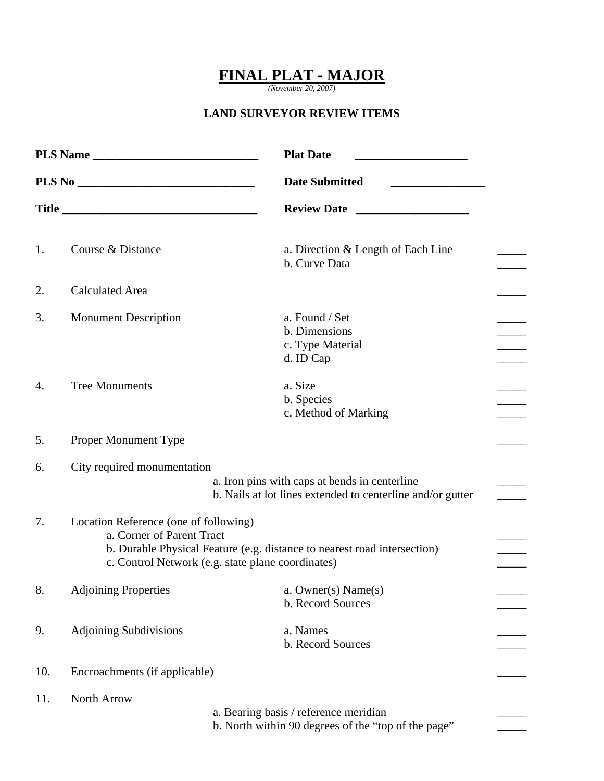## **FINAL PLAT - MAJOR**

*(November 20, 2007)* 

## **LAND SURVEYOR REVIEW ITEMS**

| <b>Plat Date</b><br>PLS Name<br><b>Date Submitted</b> |                                                                                                                                                                                                     | <u> 1990 - Johann Barbara, martin a</u>                                                      |  |
|-------------------------------------------------------|-----------------------------------------------------------------------------------------------------------------------------------------------------------------------------------------------------|----------------------------------------------------------------------------------------------|--|
|                                                       |                                                                                                                                                                                                     |                                                                                              |  |
|                                                       |                                                                                                                                                                                                     | <b>Review Date</b>                                                                           |  |
| 1.                                                    | Course & Distance                                                                                                                                                                                   | a. Direction & Length of Each Line<br>b. Curve Data                                          |  |
| 2.                                                    | <b>Calculated Area</b>                                                                                                                                                                              |                                                                                              |  |
| 3.                                                    | <b>Monument Description</b>                                                                                                                                                                         | a. Found / Set<br>b. Dimensions<br>c. Type Material<br>d. ID Cap                             |  |
| 4.                                                    | <b>Tree Monuments</b>                                                                                                                                                                               | a. Size<br>b. Species<br>c. Method of Marking                                                |  |
| 5.                                                    | Proper Monument Type                                                                                                                                                                                |                                                                                              |  |
| 6.                                                    | City required monumentation<br>a. Iron pins with caps at bends in centerline<br>b. Nails at lot lines extended to centerline and/or gutter                                                          |                                                                                              |  |
| 7.                                                    | Location Reference (one of following)<br>a. Corner of Parent Tract<br>b. Durable Physical Feature (e.g. distance to nearest road intersection)<br>c. Control Network (e.g. state plane coordinates) |                                                                                              |  |
| 8.                                                    | <b>Adjoining Properties</b>                                                                                                                                                                         | a. Owner(s) Name(s)<br>b. Record Sources                                                     |  |
| 9.                                                    | <b>Adjoining Subdivisions</b>                                                                                                                                                                       | a. Names<br>b. Record Sources                                                                |  |
| 10.                                                   | Encroachments (if applicable)                                                                                                                                                                       |                                                                                              |  |
| 11.                                                   | North Arrow                                                                                                                                                                                         | a. Bearing basis / reference meridian<br>b. North within 90 degrees of the "top of the page" |  |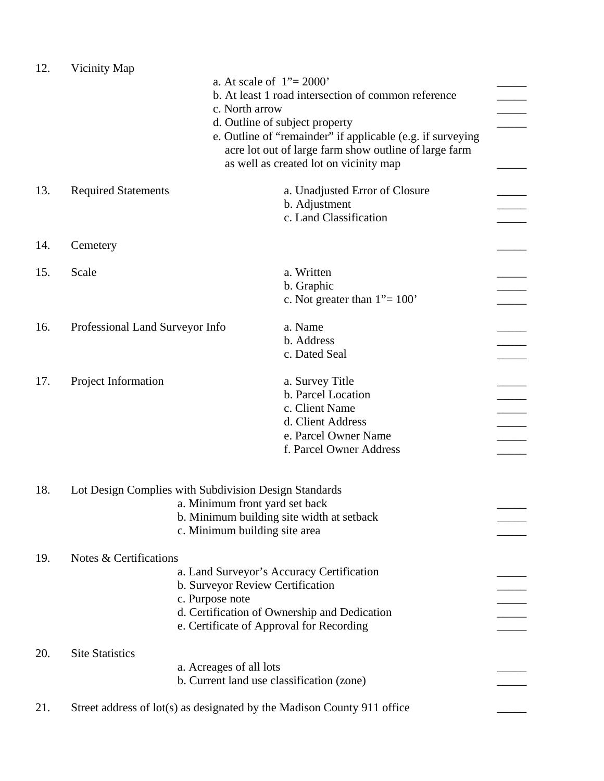| 12. | Vicinity Map                                                                                                |                                           |                                                            |  |  |
|-----|-------------------------------------------------------------------------------------------------------------|-------------------------------------------|------------------------------------------------------------|--|--|
|     | a. At scale of $1" = 2000"$                                                                                 |                                           |                                                            |  |  |
|     |                                                                                                             |                                           | b. At least 1 road intersection of common reference        |  |  |
|     |                                                                                                             | c. North arrow                            |                                                            |  |  |
|     |                                                                                                             |                                           | d. Outline of subject property                             |  |  |
|     |                                                                                                             |                                           | e. Outline of "remainder" if applicable (e.g. if surveying |  |  |
|     |                                                                                                             |                                           | acre lot out of large farm show outline of large farm      |  |  |
|     |                                                                                                             |                                           | as well as created lot on vicinity map                     |  |  |
|     |                                                                                                             |                                           |                                                            |  |  |
| 13. | <b>Required Statements</b>                                                                                  |                                           | a. Unadjusted Error of Closure                             |  |  |
|     |                                                                                                             |                                           | b. Adjustment                                              |  |  |
|     |                                                                                                             |                                           | c. Land Classification                                     |  |  |
|     |                                                                                                             |                                           |                                                            |  |  |
| 14. | Cemetery                                                                                                    |                                           |                                                            |  |  |
|     |                                                                                                             |                                           |                                                            |  |  |
| 15. | Scale                                                                                                       |                                           | a. Written                                                 |  |  |
|     |                                                                                                             |                                           | b. Graphic                                                 |  |  |
|     |                                                                                                             |                                           | c. Not greater than $1" = 100"$                            |  |  |
|     |                                                                                                             |                                           |                                                            |  |  |
| 16. | Professional Land Surveyor Info                                                                             |                                           | a. Name                                                    |  |  |
|     |                                                                                                             |                                           | b. Address                                                 |  |  |
|     |                                                                                                             |                                           | c. Dated Seal                                              |  |  |
|     |                                                                                                             |                                           |                                                            |  |  |
| 17. | Project Information                                                                                         |                                           | a. Survey Title                                            |  |  |
|     |                                                                                                             |                                           | b. Parcel Location                                         |  |  |
|     |                                                                                                             |                                           | c. Client Name                                             |  |  |
|     |                                                                                                             |                                           | d. Client Address                                          |  |  |
|     |                                                                                                             |                                           | e. Parcel Owner Name                                       |  |  |
|     |                                                                                                             |                                           | f. Parcel Owner Address                                    |  |  |
|     |                                                                                                             |                                           |                                                            |  |  |
|     |                                                                                                             |                                           |                                                            |  |  |
| 18. | Lot Design Complies with Subdivision Design Standards                                                       |                                           |                                                            |  |  |
|     | a. Minimum front yard set back<br>b. Minimum building site width at setback                                 |                                           |                                                            |  |  |
|     |                                                                                                             |                                           |                                                            |  |  |
|     |                                                                                                             | c. Minimum building site area             |                                                            |  |  |
|     |                                                                                                             |                                           |                                                            |  |  |
| 19. | Notes & Certifications                                                                                      |                                           |                                                            |  |  |
|     |                                                                                                             |                                           | a. Land Surveyor's Accuracy Certification                  |  |  |
|     |                                                                                                             | b. Surveyor Review Certification          |                                                            |  |  |
|     | c. Purpose note<br>d. Certification of Ownership and Dedication<br>e. Certificate of Approval for Recording |                                           |                                                            |  |  |
|     |                                                                                                             |                                           |                                                            |  |  |
|     |                                                                                                             |                                           |                                                            |  |  |
|     |                                                                                                             |                                           |                                                            |  |  |
| 20. | <b>Site Statistics</b>                                                                                      |                                           |                                                            |  |  |
|     |                                                                                                             | a. Acreages of all lots                   |                                                            |  |  |
|     |                                                                                                             | b. Current land use classification (zone) |                                                            |  |  |
|     |                                                                                                             |                                           |                                                            |  |  |
| 21. | Street address of lot(s) as designated by the Madison County 911 office                                     |                                           |                                                            |  |  |
|     |                                                                                                             |                                           |                                                            |  |  |